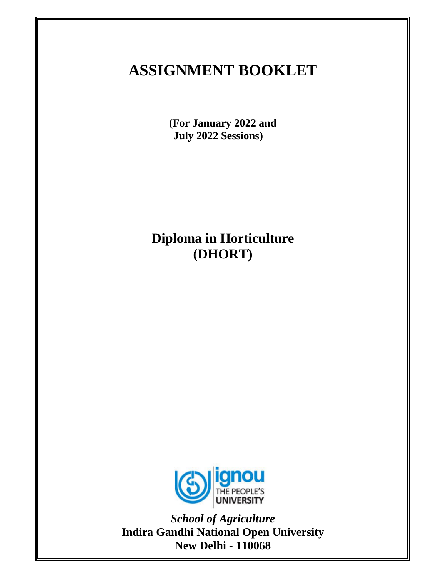# **ASSIGNMENT BOOKLET**

**(For January 2022 and July 2022 Sessions)** 

**Diploma in Horticulture (DHORT)** 



*School of Agriculture*  **Indira Gandhi National Open University New Delhi - 110068**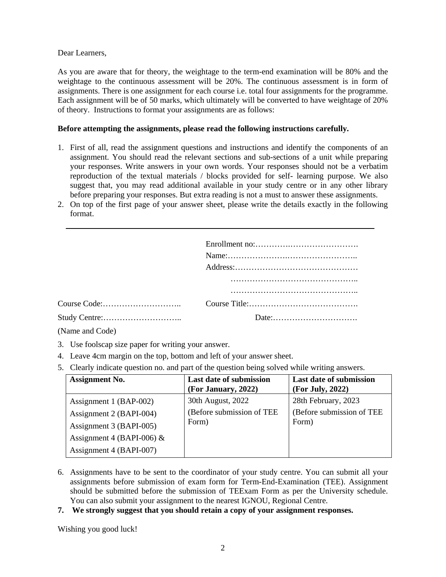Dear Learners,

As you are aware that for theory, the weightage to the term-end examination will be 80% and the weightage to the continuous assessment will be 20%. The continuous assessment is in form of assignments. There is one assignment for each course i.e. total four assignments for the programme. Each assignment will be of 50 marks, which ultimately will be converted to have weightage of 20% of theory. Instructions to format your assignments are as follows:

## **Before attempting the assignments, please read the following instructions carefully.**

- 1. First of all, read the assignment questions and instructions and identify the components of an assignment. You should read the relevant sections and sub-sections of a unit while preparing your responses. Write answers in your own words. Your responses should not be a verbatim reproduction of the textual materials / blocks provided for self- learning purpose. We also suggest that, you may read additional available in your study centre or in any other library before preparing your responses. But extra reading is not a must to answer these assignments.
- 2. On top of the first page of your answer sheet, please write the details exactly in the following format.

(Name and Code)

- 3. Use foolscap size paper for writing your answer.
- 4. Leave 4cm margin on the top, bottom and left of your answer sheet.
- 5. Clearly indicate question no. and part of the question being solved while writing answers.

| <b>Assignment No.</b>       | <b>Last date of submission</b><br>(For January, 2022) | <b>Last date of submission</b><br>(For July, 2022) |
|-----------------------------|-------------------------------------------------------|----------------------------------------------------|
| Assignment 1 (BAP-002)      | 30th August, 2022                                     | 28th February, 2023                                |
| Assignment 2 (BAPI-004)     | (Before submission of TEE<br>Form)                    | (Before submission of TEE)<br>Form)                |
| Assignment 3 (BAPI-005)     |                                                       |                                                    |
| Assignment 4 (BAPI-006) $&$ |                                                       |                                                    |
| Assignment 4 (BAPI-007)     |                                                       |                                                    |

- 6. Assignments have to be sent to the coordinator of your study centre. You can submit all your assignments before submission of exam form for Term-End-Examination (TEE). Assignment should be submitted before the submission of TEExam Form as per the University schedule. You can also submit your assignment to the nearest IGNOU, Regional Centre.
- **7. We strongly suggest that you should retain a copy of your assignment responses.**

Wishing you good luck!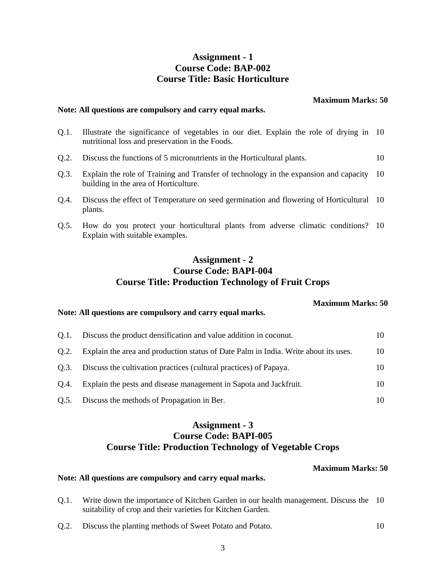# **Assignment - 1 Course Code: BAP-002 Course Title: Basic Horticulture**

**Maximum Marks: 50** 

#### **Note: All questions are compulsory and carry equal marks.**

- Q.1. Illustrate the significance of vegetables in our diet. Explain the role of drying in 10 nutritional loss and preservation in the Foods.
- Q.2. Discuss the functions of 5 micronutrients in the Horticultural plants. 10
- Q.3. Explain the role of Training and Transfer of technology in the expansion and capacity 10 building in the area of Horticulture.
- Q.4. Discuss the effect of Temperature on seed germination and flowering of Horticultural 10 plants.
- Q.5. How do you protect your horticultural plants from adverse climatic conditions? 10 Explain with suitable examples.

## **Assignment - 2 Course Code: BAPI-004 Course Title: Production Technology of Fruit Crops**

#### **Maximum Marks: 50**

#### **Note: All questions are compulsory and carry equal marks.**

| 0.1.    | Discuss the product densification and value addition in coconut.                    | 10 |
|---------|-------------------------------------------------------------------------------------|----|
| $O.2$ . | Explain the area and production status of Date Palm in India. Write about its uses. | 10 |
| O.3.    | Discuss the cultivation practices (cultural practices) of Papaya.                   | 10 |
| Q.4.    | Explain the pests and disease management in Sapota and Jackfruit.                   | 10 |
| Q.5.    | Discuss the methods of Propagation in Ber.                                          |    |

## **Assignment - 3 Course Code: BAPI-005 Course Title: Production Technology of Vegetable Crops**

#### **Maximum Marks: 50**

#### **Note: All questions are compulsory and carry equal marks.**

- Q.1. Write down the importance of Kitchen Garden in our health management. Discuss the 10 suitability of crop and their varieties for Kitchen Garden.
- Q.2. Discuss the planting methods of Sweet Potato and Potato. 10